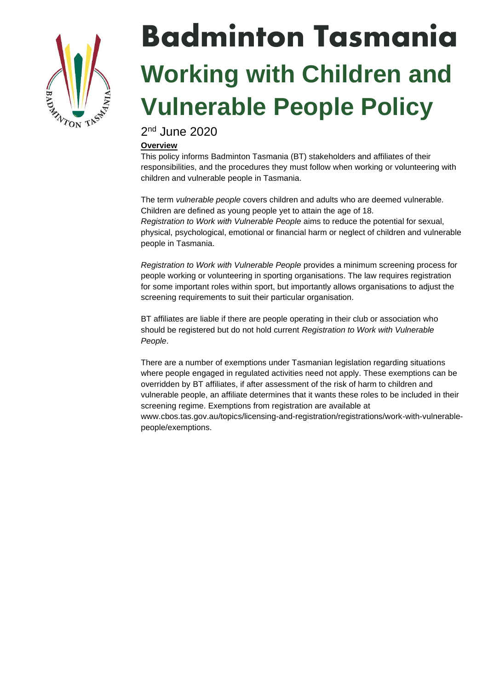

# Badminton Tasmania **Working with Children and Vulnerable People Policy**

2<sup>nd</sup> June 2020

# **Overview**

This policy informs Badminton Tasmania (BT) stakeholders and affiliates of their responsibilities, and the procedures they must follow when working or volunteering with children and vulnerable people in Tasmania.

The term *vulnerable people* covers children and adults who are deemed vulnerable. Children are defined as young people yet to attain the age of 18. *Registration to Work with Vulnerable People* aims to reduce the potential for sexual, physical, psychological, emotional or financial harm or neglect of children and vulnerable people in Tasmania.

*Registration to Work with Vulnerable People* provides a minimum screening process for people working or volunteering in sporting organisations. The law requires registration for some important roles within sport, but importantly allows organisations to adjust the screening requirements to suit their particular organisation.

BT affiliates are liable if there are people operating in their club or association who should be registered but do not hold current *Registration to Work with Vulnerable People*.

There are a number of exemptions under Tasmanian legislation regarding situations where people engaged in regulated activities need not apply. These exemptions can be overridden by BT affiliates, if after assessment of the risk of harm to children and vulnerable people, an affiliate determines that it wants these roles to be included in their screening regime. Exemptions from registration are available at www.cbos.tas.gov.au/topics/licensing-and-registration/registrations/work-with-vulnerablepeople/exemptions.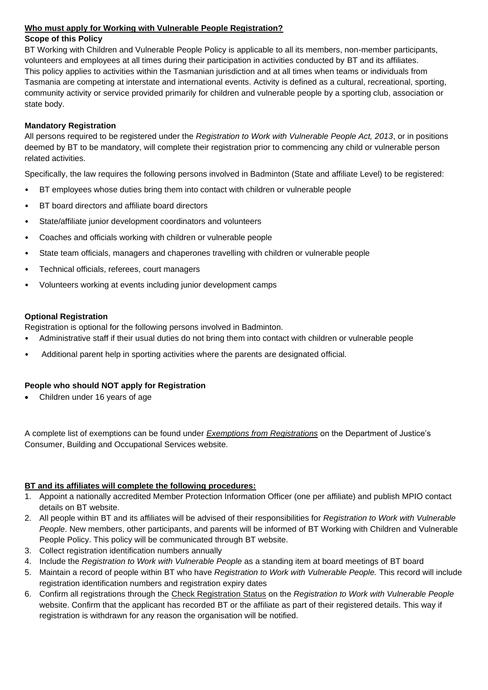## **Who must apply for Working with Vulnerable People Registration?**

## **Scope of this Policy**

BT Working with Children and Vulnerable People Policy is applicable to all its members, non-member participants, volunteers and employees at all times during their participation in activities conducted by BT and its affiliates. This policy applies to activities within the Tasmanian jurisdiction and at all times when teams or individuals from Tasmania are competing at interstate and international events. Activity is defined as a cultural, recreational, sporting, community activity or service provided primarily for children and vulnerable people by a sporting club, association or state body.

#### **Mandatory Registration**

All persons required to be registered under the *Registration to Work with Vulnerable People Act, 2013*, or in positions deemed by BT to be mandatory, will complete their registration prior to commencing any child or vulnerable person related activities.

Specifically, the law requires the following persons involved in Badminton (State and affiliate Level) to be registered:

- BT employees whose duties bring them into contact with children or vulnerable people
- BT board directors and affiliate board directors
- State/affiliate junior development coordinators and volunteers
- Coaches and officials working with children or vulnerable people
- State team officials, managers and chaperones travelling with children or vulnerable people
- Technical officials, referees, court managers
- Volunteers working at events including junior development camps

## **Optional Registration**

Registration is optional for the following persons involved in Badminton.

- Administrative staff if their usual duties do not bring them into contact with children or vulnerable people
- Additional parent help in sporting activities where the parents are designated official.

# **People who should NOT apply for Registration**

• Children under 16 years of age

A complete list of exemptions can be found under *[Exemptions from Registrations](https://www.cbos.tas.gov.au/topics/licensing-and-registration/registrations/work-with-vulnerable-people/exemptions)* on the Department of Justice's Consumer, Building and Occupational Services website.

# **BT and its affiliates will complete the following procedures:**

- 1. Appoint a nationally accredited Member Protection Information Officer (one per affiliate) and publish MPIO contact details on BT website.
- 2. All people within BT and its affiliates will be advised of their responsibilities for *Registration to Work with Vulnerable People*. New members, other participants, and parents will be informed of BT Working with Children and Vulnerable People Policy. This policy will be communicated through BT website.
- 3. Collect registration identification numbers annually
- 4. Include the *Registration to Work with Vulnerable People* as a standing item at board meetings of BT board
- 5. Maintain a record of people within BT who have *Registration to Work with Vulnerable People.* This record will include registration identification numbers and registration expiry dates
- 6. Confirm all registrations through the [Check Registration Status](https://wwcforms.justice.tas.gov.au/RegistrationSearch.aspx) on the *Registration to Work with Vulnerable People*  website. Confirm that the applicant has recorded BT or the affiliate as part of their registered details. This way if registration is withdrawn for any reason the organisation will be notified.